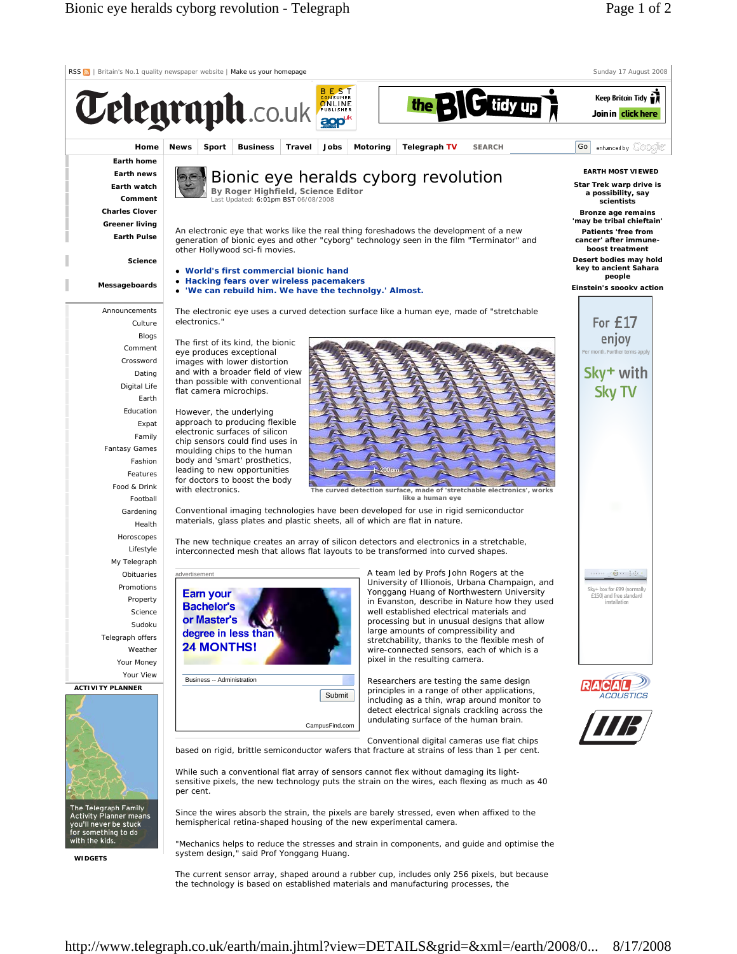